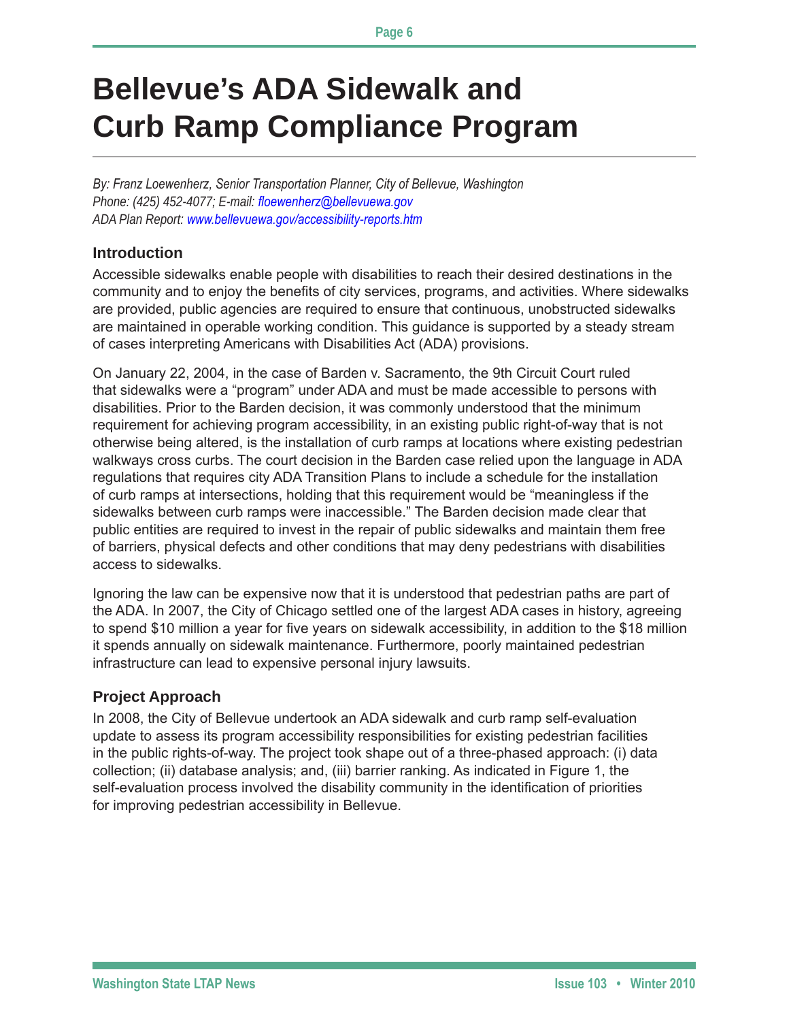# **Bellevue's ADA Sidewalk and Curb Ramp Compliance Program**

*By: Franz Loewenherz, Senior Transportation Planner, City of Bellevue, Washington Phone: (425) 452-4077; E-mail: floewenherz@bellevuewa.gov ADA Plan Report: www.bellevuewa.gov/accessibility-reports.htm*

#### **Introduction**

Accessible sidewalks enable people with disabilities to reach their desired destinations in the community and to enjoy the benefits of city services, programs, and activities. Where sidewalks are provided, public agencies are required to ensure that continuous, unobstructed sidewalks are maintained in operable working condition. This guidance is supported by a steady stream of cases interpreting Americans with Disabilities Act (ADA) provisions.

On January 22, 2004, in the case of Barden v. Sacramento, the 9th Circuit Court ruled that sidewalks were a "program" under ADA and must be made accessible to persons with disabilities. Prior to the Barden decision, it was commonly understood that the minimum requirement for achieving program accessibility, in an existing public right-of-way that is not otherwise being altered, is the installation of curb ramps at locations where existing pedestrian walkways cross curbs. The court decision in the Barden case relied upon the language in ADA regulations that requires city ADA Transition Plans to include a schedule for the installation of curb ramps at intersections, holding that this requirement would be "meaningless if the sidewalks between curb ramps were inaccessible." The Barden decision made clear that public entities are required to invest in the repair of public sidewalks and maintain them free of barriers, physical defects and other conditions that may deny pedestrians with disabilities access to sidewalks.

Ignoring the law can be expensive now that it is understood that pedestrian paths are part of the ADA. In 2007, the City of Chicago settled one of the largest ADA cases in history, agreeing to spend \$10 million a year for five years on sidewalk accessibility, in addition to the \$18 million it spends annually on sidewalk maintenance. Furthermore, poorly maintained pedestrian infrastructure can lead to expensive personal injury lawsuits.

#### **Project Approach**

In 2008, the City of Bellevue undertook an ADA sidewalk and curb ramp self-evaluation update to assess its program accessibility responsibilities for existing pedestrian facilities in the public rights-of-way. The project took shape out of a three-phased approach: (i) data collection; (ii) database analysis; and, (iii) barrier ranking. As indicated in Figure 1, the self-evaluation process involved the disability community in the identification of priorities for improving pedestrian accessibility in Bellevue.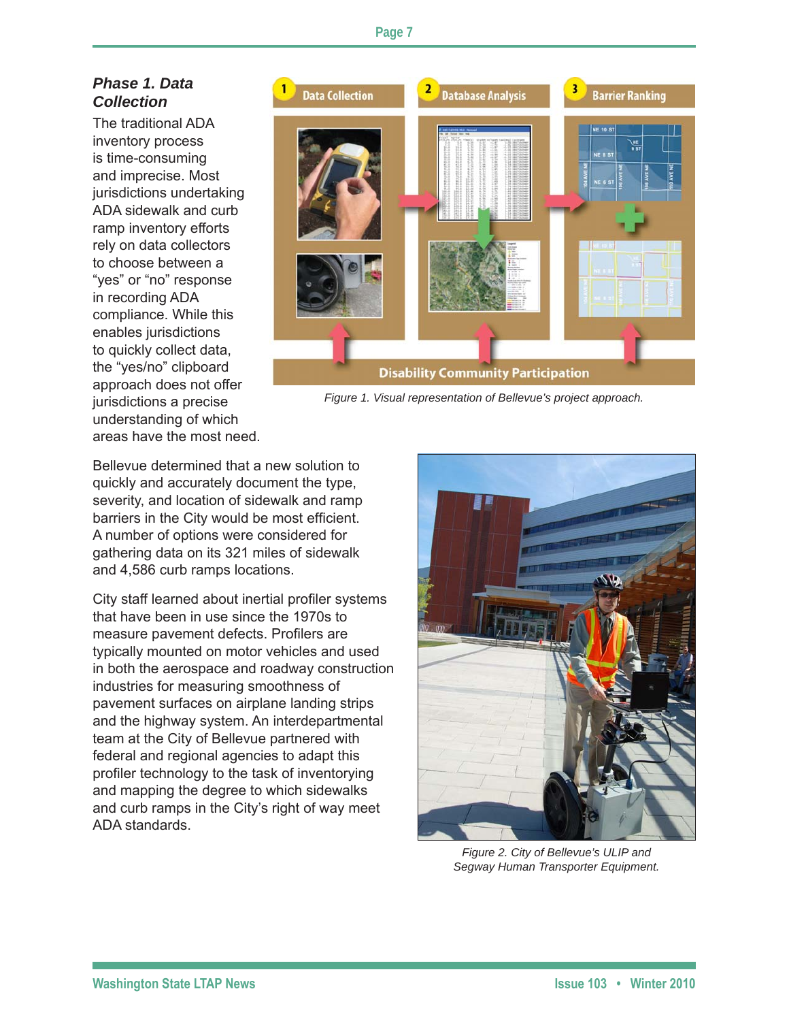## *Phase 1. Data Collection*

The traditional ADA inventory process is time-consuming and imprecise. Most jurisdictions undertaking ADA sidewalk and curb ramp inventory efforts rely on data collectors to choose between a "yes" or "no" response in recording ADA compliance. While this enables jurisdictions to quickly collect data, the "yes/no" clipboard approach does not offer jurisdictions a precise understanding of which areas have the most need.



*Figure 1. Visual representation of Bellevue's project approach.*

Bellevue determined that a new solution to quickly and accurately document the type, severity, and location of sidewalk and ramp barriers in the City would be most efficient. A number of options were considered for gathering data on its 321 miles of sidewalk and 4,586 curb ramps locations.

City staff learned about inertial profiler systems that have been in use since the 1970s to measure pavement defects. Profilers are typically mounted on motor vehicles and used in both the aerospace and roadway construction industries for measuring smoothness of pavement surfaces on airplane landing strips and the highway system. An interdepartmental team at the City of Bellevue partnered with federal and regional agencies to adapt this profiler technology to the task of inventorying and mapping the degree to which sidewalks and curb ramps in the City's right of way meet ADA standards.



*Figure 2. City of Bellevue's ULIP and Segway Human Transporter Equipment.*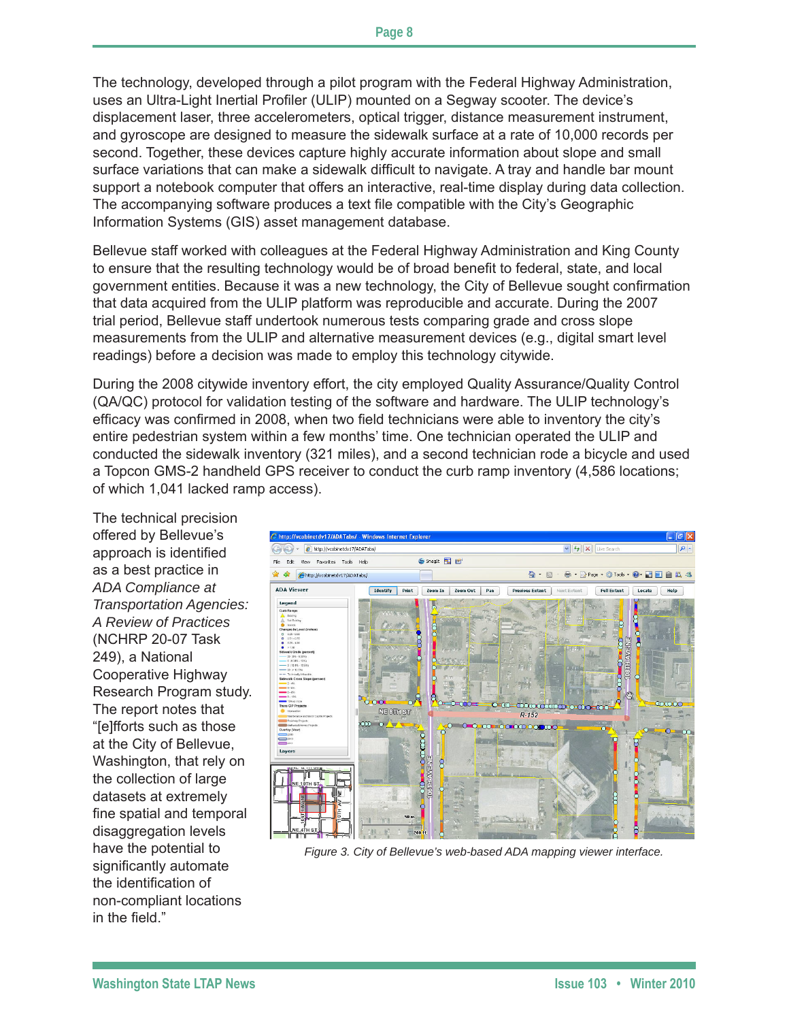The technology, developed through a pilot program with the Federal Highway Administration, uses an Ultra-Light Inertial Profiler (ULIP) mounted on a Segway scooter. The device's displacement laser, three accelerometers, optical trigger, distance measurement instrument, and gyroscope are designed to measure the sidewalk surface at a rate of 10,000 records per second. Together, these devices capture highly accurate information about slope and small surface variations that can make a sidewalk difficult to navigate. A tray and handle bar mount support a notebook computer that offers an interactive, real-time display during data collection. The accompanying software produces a text file compatible with the City's Geographic Information Systems (GIS) asset management database.

Bellevue staff worked with colleagues at the Federal Highway Administration and King County to ensure that the resulting technology would be of broad benefit to federal, state, and local government entities. Because it was a new technology, the City of Bellevue sought confirmation that data acquired from the ULIP platform was reproducible and accurate. During the 2007 trial period, Bellevue staff undertook numerous tests comparing grade and cross slope measurements from the ULIP and alternative measurement devices (e.g., digital smart level readings) before a decision was made to employ this technology citywide.

During the 2008 citywide inventory effort, the city employed Quality Assurance/Quality Control (QA/QC) protocol for validation testing of the software and hardware. The ULIP technology's efficacy was confirmed in 2008, when two field technicians were able to inventory the city's entire pedestrian system within a few months' time. One technician operated the ULIP and conducted the sidewalk inventory (321 miles), and a second technician rode a bicycle and used a Topcon GMS-2 handheld GPS receiver to conduct the curb ramp inventory (4,586 locations; of which 1,041 lacked ramp access).

The technical precision offered by Bellevue's approach is identified as a best practice in *ADA Compliance at Transportation Agencies: A Review of Practices* (NCHRP 20-07 Task 249), a National Cooperative Highway Research Program study. The report notes that "[e]fforts such as those at the City of Bellevue, Washington, that rely on the collection of large datasets at extremely fine spatial and temporal disaggregation levels have the potential to significantly automate the identification of non-compliant locations in the field."



*Figure 3. City of Bellevue's web-based ADA mapping viewer interface.*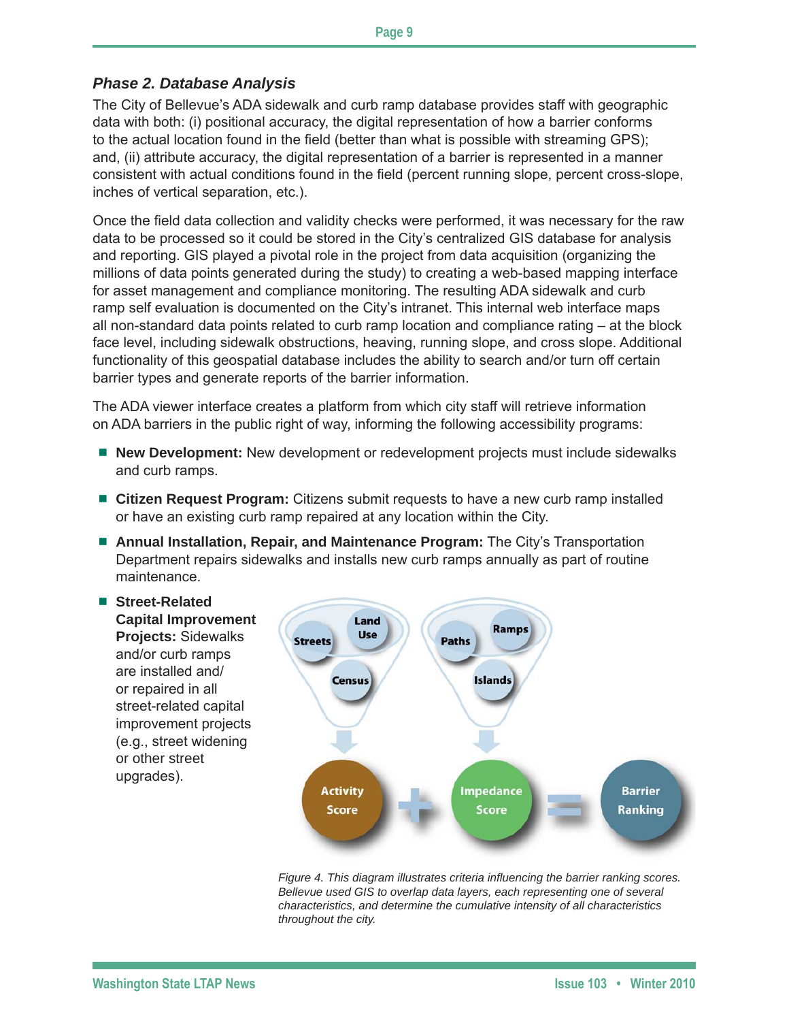### *Phase 2. Database Analysis*

The City of Bellevue's ADA sidewalk and curb ramp database provides staff with geographic data with both: (i) positional accuracy, the digital representation of how a barrier conforms to the actual location found in the field (better than what is possible with streaming GPS); and, (ii) attribute accuracy, the digital representation of a barrier is represented in a manner consistent with actual conditions found in the field (percent running slope, percent cross-slope, inches of vertical separation, etc.).

Once the field data collection and validity checks were performed, it was necessary for the raw data to be processed so it could be stored in the City's centralized GIS database for analysis and reporting. GIS played a pivotal role in the project from data acquisition (organizing the millions of data points generated during the study) to creating a web-based mapping interface for asset management and compliance monitoring. The resulting ADA sidewalk and curb ramp self evaluation is documented on the City's intranet. This internal web interface maps all non-standard data points related to curb ramp location and compliance rating – at the block face level, including sidewalk obstructions, heaving, running slope, and cross slope. Additional functionality of this geospatial database includes the ability to search and/or turn off certain barrier types and generate reports of the barrier information.

The ADA viewer interface creates a platform from which city staff will retrieve information on ADA barriers in the public right of way, informing the following accessibility programs:

- New Development: New development or redevelopment projects must include sidewalks and curb ramps.
- **Citizen Request Program:** Citizens submit requests to have a new curb ramp installed or have an existing curb ramp repaired at any location within the City.
- **Annual Installation, Repair, and Maintenance Program:** The City's Transportation Department repairs sidewalks and installs new curb ramps annually as part of routine maintenance.



*Figure 4. This diagram illustrates criteria influencing the barrier ranking scores. Bellevue used GIS to overlap data layers, each representing one of several characteristics, and determine the cumulative intensity of all characteristics throughout the city.*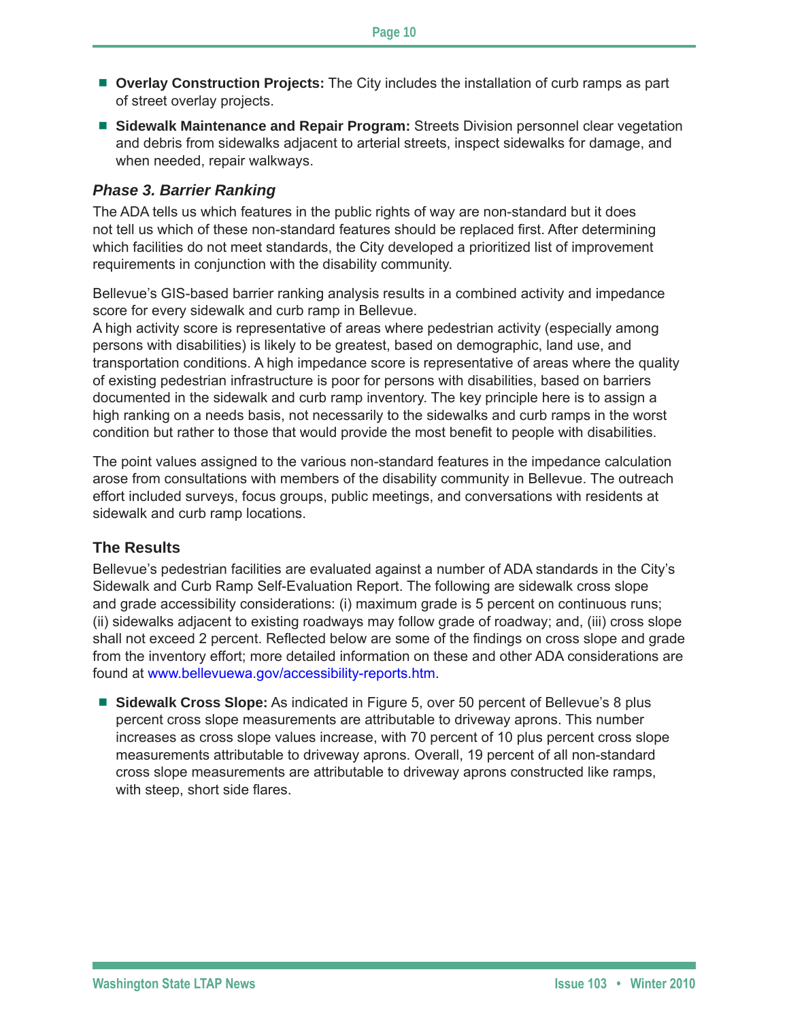- **Overlay Construction Projects:** The City includes the installation of curb ramps as part of street overlay projects.
- **Sidewalk Maintenance and Repair Program:** Streets Division personnel clear vegetation and debris from sidewalks adjacent to arterial streets, inspect sidewalks for damage, and when needed, repair walkways.

#### *Phase 3. Barrier Ranking*

The ADA tells us which features in the public rights of way are non-standard but it does not tell us which of these non-standard features should be replaced first. After determining which facilities do not meet standards, the City developed a prioritized list of improvement requirements in conjunction with the disability community.

Bellevue's GIS-based barrier ranking analysis results in a combined activity and impedance score for every sidewalk and curb ramp in Bellevue.

A high activity score is representative of areas where pedestrian activity (especially among persons with disabilities) is likely to be greatest, based on demographic, land use, and transportation conditions. A high impedance score is representative of areas where the quality of existing pedestrian infrastructure is poor for persons with disabilities, based on barriers documented in the sidewalk and curb ramp inventory. The key principle here is to assign a high ranking on a needs basis, not necessarily to the sidewalks and curb ramps in the worst condition but rather to those that would provide the most benefit to people with disabilities.

The point values assigned to the various non-standard features in the impedance calculation arose from consultations with members of the disability community in Bellevue. The outreach effort included surveys, focus groups, public meetings, and conversations with residents at sidewalk and curb ramp locations.

### **The Results**

Bellevue's pedestrian facilities are evaluated against a number of ADA standards in the City's Sidewalk and Curb Ramp Self-Evaluation Report. The following are sidewalk cross slope and grade accessibility considerations: (i) maximum grade is 5 percent on continuous runs; (ii) sidewalks adjacent to existing roadways may follow grade of roadway; and, (iii) cross slope shall not exceed 2 percent. Reflected below are some of the findings on cross slope and grade from the inventory effort; more detailed information on these and other ADA considerations are found at www.bellevuewa.gov/accessibility-reports.htm.

**Sidewalk Cross Slope:** As indicated in Figure 5, over 50 percent of Bellevue's 8 plus percent cross slope measurements are attributable to driveway aprons. This number increases as cross slope values increase, with 70 percent of 10 plus percent cross slope measurements attributable to driveway aprons. Overall, 19 percent of all non-standard cross slope measurements are attributable to driveway aprons constructed like ramps, with steep, short side flares.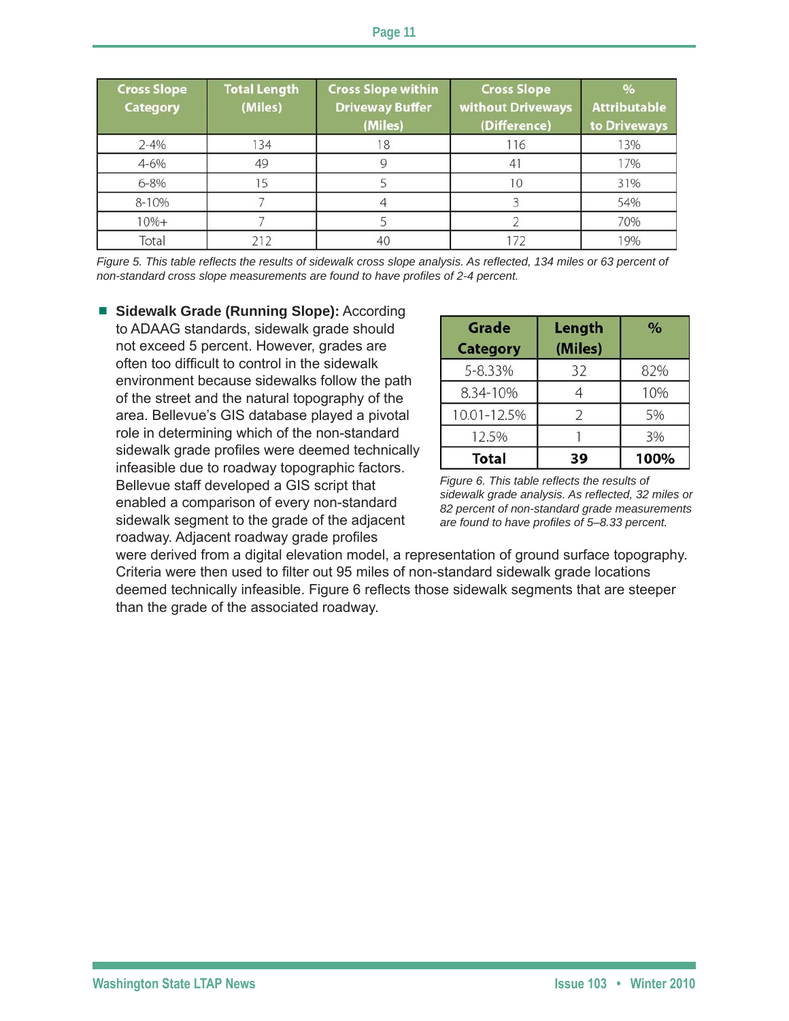| <b>Cross Slope</b><br><b>Category</b> | <b>Total Length</b><br>(Miles) | <b>Cross Slope within</b><br><b>Driveway Buffer</b><br>(Miles) | <b>Cross Slope</b><br>without Driveways<br>(Difference) | $\%$<br><b>Attributable</b><br>to Driveways |
|---------------------------------------|--------------------------------|----------------------------------------------------------------|---------------------------------------------------------|---------------------------------------------|
| $2 - 4%$                              | 134                            |                                                                | 116                                                     | 13%                                         |
| $4 - 6%$                              | 49                             |                                                                |                                                         | 17%                                         |
| $6 - 8%$                              |                                |                                                                |                                                         | 31%                                         |
| 8-10%                                 |                                |                                                                |                                                         | 54%                                         |
| $10% +$                               |                                |                                                                |                                                         | 70%                                         |
| Total                                 | 212                            | 40                                                             | 172                                                     | 19%                                         |

*Figure 5. This table reflects the results of sidewalk cross slope analysis. As reflected, 134 miles or 63 percent of non-standard cross slope measurements are found to have profiles of 2-4 percent.*

■ Sidewalk Grade (Running Slope): According to ADAAG standards, sidewalk grade should not exceed 5 percent. However, grades are often too difficult to control in the sidewalk environment because sidewalks follow the path of the street and the natural topography of the area. Bellevue's GIS database played a pivotal role in determining which of the non-standard sidewalk grade profiles were deemed technically infeasible due to roadway topographic factors. Bellevue staff developed a GIS script that enabled a comparison of every non-standard sidewalk segment to the grade of the adjacent roadway. Adjacent roadway grade profiles

| <b>Grade</b><br><b>Category</b> | Length<br>(Miles) | $\frac{9}{6}$ |
|---------------------------------|-------------------|---------------|
| 5-8.33%                         | 32                | 82%           |
| 8.34-10%                        |                   | 10%           |
| 10.01-12.5%                     | 2                 | 5%            |
| 12.5%                           |                   | 3%            |
| <b>Total</b>                    | 39                | 100%          |

*Figure 6. This table reflects the results of sidewalk grade analysis. As reflected, 32 miles or 82 percent of non-standard grade measurements are found to have profiles of 5–8.33 percent.*

were derived from a digital elevation model, a representation of ground surface topography. Criteria were then used to filter out 95 miles of non-standard sidewalk grade locations deemed technically infeasible. Figure 6 reflects those sidewalk segments that are steeper than the grade of the associated roadway.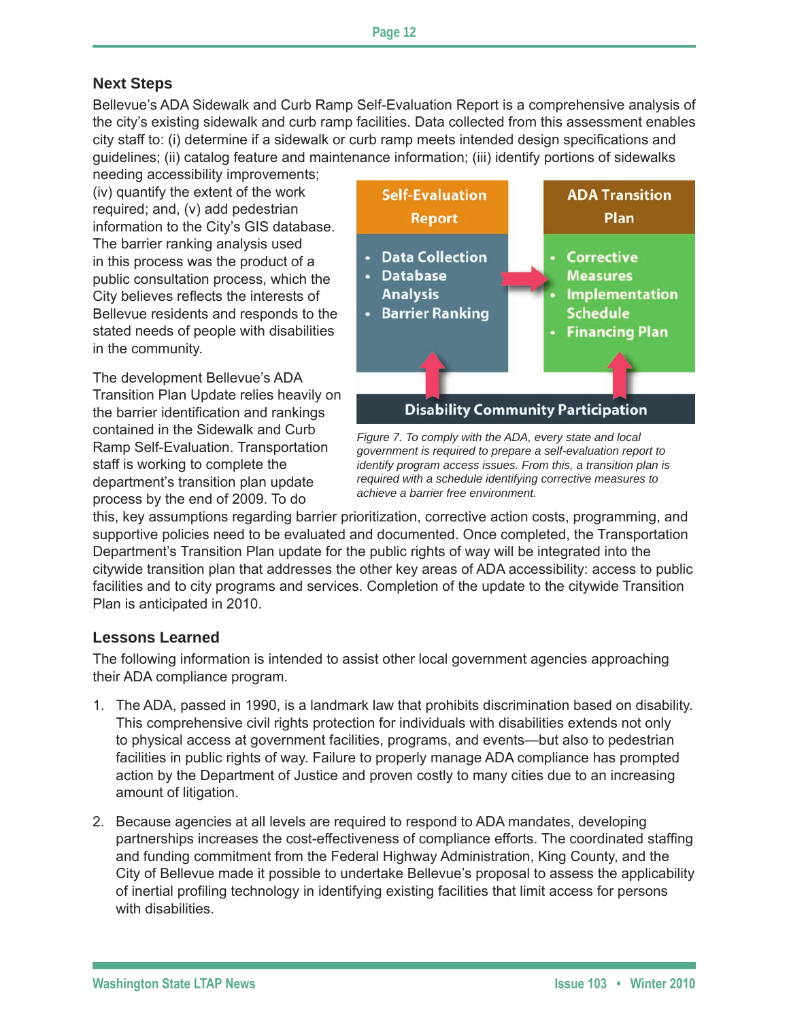## **Next Steps**

Bellevue's ADA Sidewalk and Curb Ramp Self-Evaluation Report is a comprehensive analysis of the city's existing sidewalk and curb ramp facilities. Data collected from this assessment enables city staff to: (i) determine if a sidewalk or curb ramp meets intended design specifications and guidelines; (ii) catalog feature and maintenance information; (iii) identify portions of sidewalks

needing accessibility improvements; (iv) quantify the extent of the work required; and, (v) add pedestrian information to the City's GIS database. The barrier ranking analysis used in this process was the product of a public consultation process, which the City believes reflects the interests of Bellevue residents and responds to the stated needs of people with disabilities in the community.

The development Bellevue's ADA Transition Plan Update relies heavily on the barrier identification and rankings contained in the Sidewalk and Curb Ramp Self-Evaluation. Transportation staff is working to complete the department's transition plan update process by the end of 2009. To do



*Figure 7. To comply with the ADA, every state and local government is required to prepare a self-evaluation report to identify program access issues. From this, a transition plan is required with a schedule identifying corrective measures to achieve a barrier free environment.*

this, key assumptions regarding barrier prioritization, corrective action costs, programming, and supportive policies need to be evaluated and documented. Once completed, the Transportation Department's Transition Plan update for the public rights of way will be integrated into the citywide transition plan that addresses the other key areas of ADA accessibility: access to public facilities and to city programs and services. Completion of the update to the citywide Transition Plan is anticipated in 2010.

### **Lessons Learned**

The following information is intended to assist other local government agencies approaching their ADA compliance program.

- 1. The ADA, passed in 1990, is a landmark law that prohibits discrimination based on disability. This comprehensive civil rights protection for individuals with disabilities extends not only to physical access at government facilities, programs, and events—but also to pedestrian facilities in public rights of way. Failure to properly manage ADA compliance has prompted action by the Department of Justice and proven costly to many cities due to an increasing amount of litigation.
- 2. Because agencies at all levels are required to respond to ADA mandates, developing partnerships increases the cost-effectiveness of compliance efforts. The coordinated staffing and funding commitment from the Federal Highway Administration, King County, and the City of Bellevue made it possible to undertake Bellevue's proposal to assess the applicability of inertial profiling technology in identifying existing facilities that limit access for persons with disabilities.